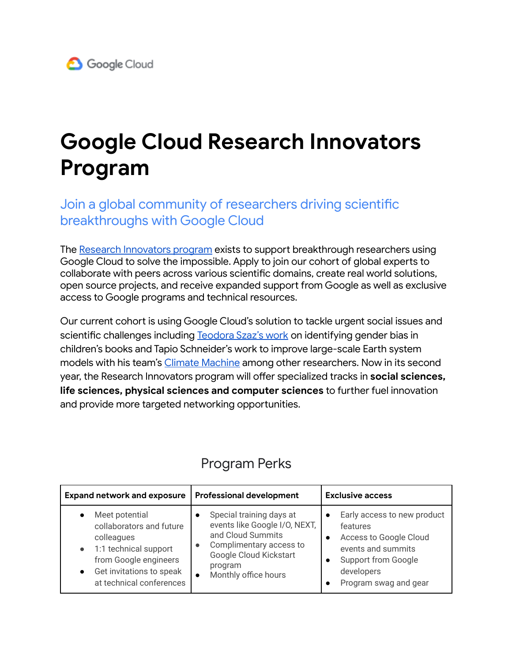## **Google Cloud Research Innovators Program**

Join a global community of researchers driving scientific breakthroughs with Google Cloud

The Research [Innovators](https://cloud.google.com/blog/topics/public-sector/join-google-cloud-research-innovators-accelerate-scientific-projects) program exists to support breakthrough researchers using Google Cloud to solve the impossible. Apply to join our cohort of global experts to collaborate with peers across various scientific domains, create real world solutions, open source projects, and receive expanded support from Google as well as exclusive access to Google programs and technical resources.

Our current cohort is using Google Cloud's solution to tackle urgent social issues and scientific challenges including [Teodora](https://news.uchicago.edu/story/are-childrens-books-becoming-more-diverse-new-research-reveals-persistent-bias?utm_source=uc_linkedin&utm_medium=social&utm_campaign=ChildrensBookResearch) Szaz's work on identifying gender bias in children's books and Tapio Schneider's work to improve large-scale Earth system models with his team's Climate [Machine](https://clima.caltech.edu/) among other researchers. Now in its second year, the Research Innovators program will offer specialized tracks in **social sciences, life sciences, physical sciences and computer sciences** to further fuel innovation and provide more targeted networking opportunities.

| <b>Expand network and exposure</b>                                                                                                                                              | <b>Professional development</b>                                                                                                                                        | <b>Exclusive access</b>                                                                                                                                      |
|---------------------------------------------------------------------------------------------------------------------------------------------------------------------------------|------------------------------------------------------------------------------------------------------------------------------------------------------------------------|--------------------------------------------------------------------------------------------------------------------------------------------------------------|
| Meet potential<br>collaborators and future<br>colleagues<br>1:1 technical support<br>from Google engineers<br>Get invitations to speak<br>$\bullet$<br>at technical conferences | Special training days at<br>events like Google I/O, NEXT,<br>and Cloud Summits<br>Complimentary access to<br>Google Cloud Kickstart<br>program<br>Monthly office hours | Early access to new product<br>features<br>Access to Google Cloud<br>events and summits<br><b>Support from Google</b><br>developers<br>Program swag and gear |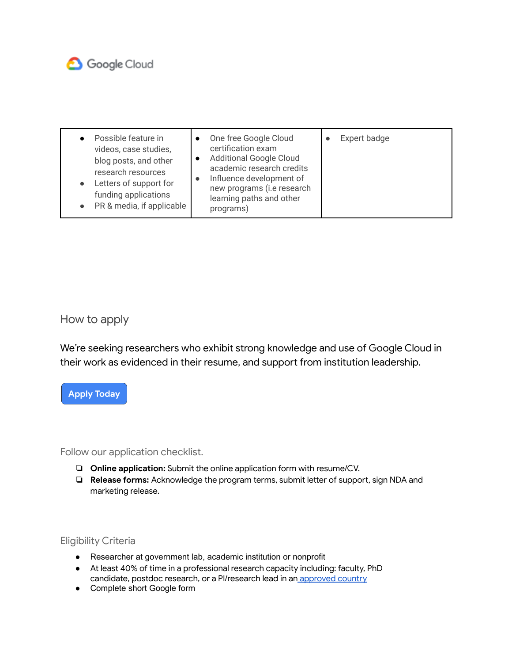

| Possible feature in<br>videos, case studies,<br>blog posts, and other<br>research resources<br>Letters of support for<br>funding applications<br>• PR & media, if applicable | One free Google Cloud<br>certification exam<br><b>Additional Google Cloud</b><br>academic research credits<br>Influence development of<br>new programs (i.e research<br>learning paths and other<br>programs) | Expert badge |
|------------------------------------------------------------------------------------------------------------------------------------------------------------------------------|---------------------------------------------------------------------------------------------------------------------------------------------------------------------------------------------------------------|--------------|
|------------------------------------------------------------------------------------------------------------------------------------------------------------------------------|---------------------------------------------------------------------------------------------------------------------------------------------------------------------------------------------------------------|--------------|

How to apply

We're seeking researchers who exhibit strong knowledge and use of Google Cloud in their work as evidenced in their resume, and support from institution leadership.



Follow our application checklist.

- ❏ **Online application:** Submit the online application form with resume/CV.
- ❏ **Release forms:** Acknowledge the program terms, submit letter of support, sign NDA and marketing release.

Eligibility Criteria

- Researcher at government lab, academic institution or nonprofit
- At least 40% of time in a professional research capacity including: faculty, PhD candidate, postdoc research, or a Pl/research lead in an [approved](https://edu.google.com/programs/faqs/academic-research-credits/?modal_active=none) country
- Complete short Google form